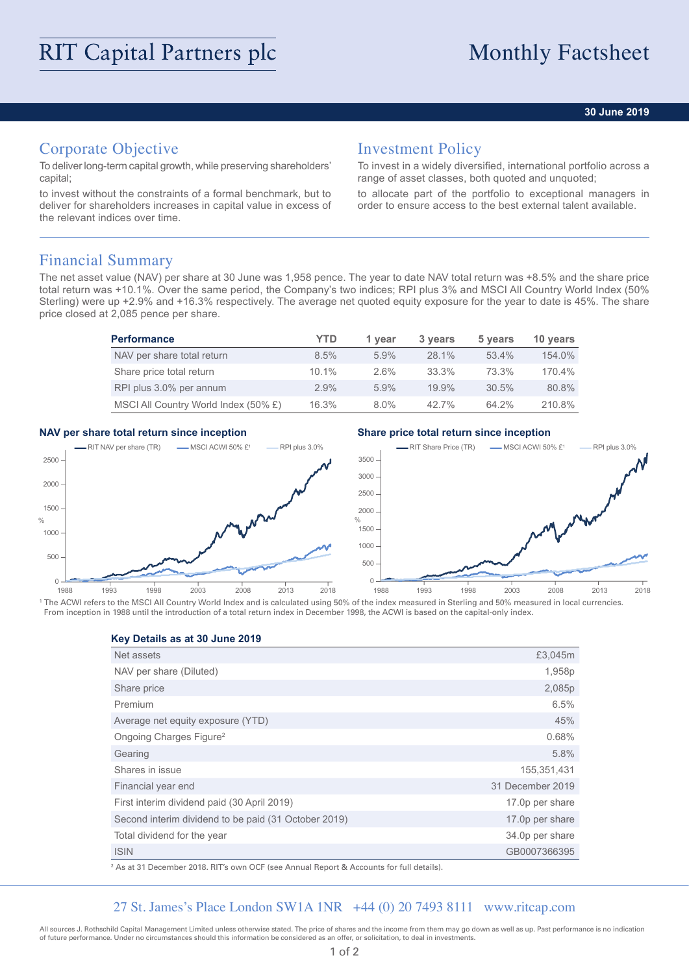### **30 June 2019**

# Corporate Objective

To deliver long-term capital growth, while preserving shareholders' capital;

to invest without the constraints of a formal benchmark, but to deliver for shareholders increases in capital value in excess of the relevant indices over time.

## Investment Policy

To invest in a widely diversified, international portfolio across a range of asset classes, both quoted and unquoted;

to allocate part of the portfolio to exceptional managers in order to ensure access to the best external talent available.

## Financial Summary

The net asset value (NAV) per share at 30 June was 1,958 pence. The year to date NAV total return was +8.5% and the share price total return was +10.1%. Over the same period, the Company's two indices; RPI plus 3% and MSCI All Country World Index (50% Sterling) were up +2.9% and +16.3% respectively. The average net quoted equity exposure for the year to date is 45%. The share price closed at 2,085 pence per share.

| <b>Performance</b>                   | YTD      | 1 year  | 3 years  | 5 years  | 10 years |
|--------------------------------------|----------|---------|----------|----------|----------|
| NAV per share total return           | $8.5\%$  | $5.9\%$ | 28.1%    | 53.4%    | 154.0%   |
| Share price total return             | $10.1\%$ | $2.6\%$ | 33.3%    | 73.3%    | 170.4%   |
| RPI plus 3.0% per annum              | $2.9\%$  | $5.9\%$ | $19.9\%$ | $30.5\%$ | 80.8%    |
| MSCI All Country World Index (50% £) | 16.3%    | $8.0\%$ | 42.7%    | 64.2%    | 210.8%   |

### **NAV per share total return since inception Share price total return since inception**



<sup>1</sup> The ACWI refers to the MSCI All Country World Index and is calculated using 50% of the index measured in Sterling and 50% measured in local currencies. From inception in 1988 until the introduction of a total return index in December 1998, the ACWI is based on the capital-only index.

**Key Details as at 30 June 2019**

| Net assets                                           | £3,045m          |
|------------------------------------------------------|------------------|
| NAV per share (Diluted)                              | 1,958p           |
| Share price                                          | 2,085p           |
| Premium                                              | 6.5%             |
| Average net equity exposure (YTD)                    | 45%              |
| Ongoing Charges Figure <sup>2</sup>                  | 0.68%            |
| Gearing                                              | 5.8%             |
| Shares in issue                                      | 155,351,431      |
| Financial year end                                   | 31 December 2019 |
| First interim dividend paid (30 April 2019)          | 17.0p per share  |
| Second interim dividend to be paid (31 October 2019) | 17.0p per share  |
| Total dividend for the year                          | 34.0p per share  |
| <b>ISIN</b>                                          | GB0007366395     |

2 As at 31 December 2018. RIT's own OCF (see Annual Report & Accounts for full details).

## 27 St. James's Place London SW1A 1NR +44 (0) 20 7493 8111 www.ritcap.com

All sources J. Rothschild Capital Management Limited unless otherwise stated. The price of shares and the income from them may go down as well as up. Past performance is no indication of future performance. Under no circumstances should this information be considered as an offer, or solicitation, to deal in investments.